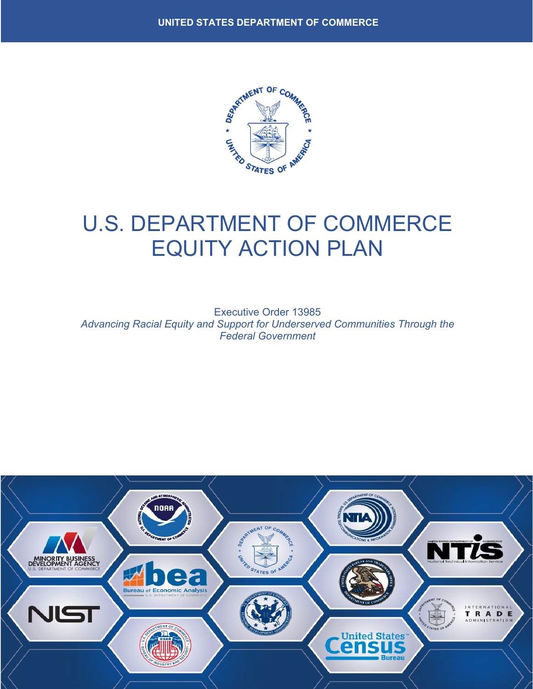

# U.S. DEPARTMENT OF COMMERCE EQUITY ACTION PLAN

Executive Order 13985 *Advancing Racial Equity and Support for Underserved Communities Through the Federal Government* 

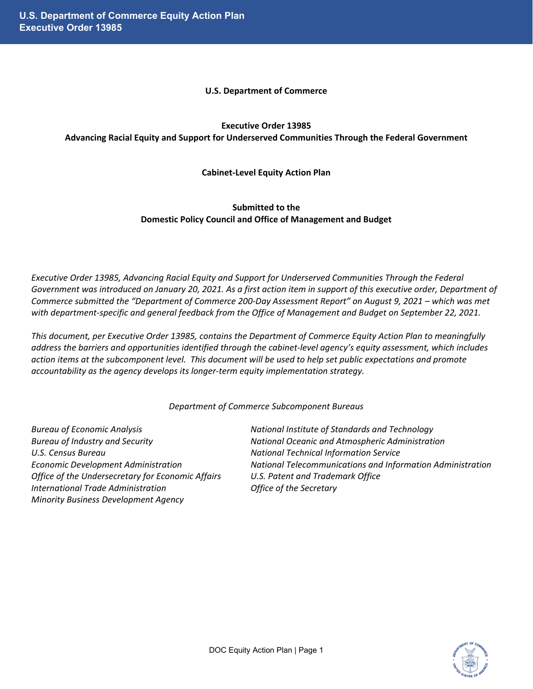#### **U.S. Department of Commerce**

# **Executive Order 13985 Advancing Racial Equity and Support for Underserved Communities Through the Federal Government**

# **Cabinet-Level Equity Action Plan**

# **Submitted to the Domestic Policy Council and Office of Management and Budget**

*Executive Order 13985, Advancing Racial Equity and Support for Underserved Communities Through the Federal Government was introduced on January 20, 2021. As a first action item in support of this executive order, Department of Commerce submitted the "Department of Commerce 200-Day Assessment Report" on August 9, 2021 – which was met with department-specific and general feedback from the Office of Management and Budget on September 22, 2021.*

*This document, per Executive Order 13985, contains the Department of Commerce Equity Action Plan to meaningfully address the barriers and opportunities identified through the cabinet-level agency's equity assessment, which includes action items at the subcomponent level. This document will be used to help set public expectations and promote accountability as the agency develops its longer-term equity implementation strategy.* 

*Department of Commerce Subcomponent Bureaus*

*U.S. Census Bureau National Technical Information Service Office of the Undersecretary for Economic Affairs U.S. Patent and Trademark Office International Trade Administration Office of the Secretary Minority Business Development Agency*

*Bureau of Economic Analysis National Institute of Standards and Technology Bureau of Industry and Security National Oceanic and Atmospheric Administration Economic Development Administration National Telecommunications and Information Administration*

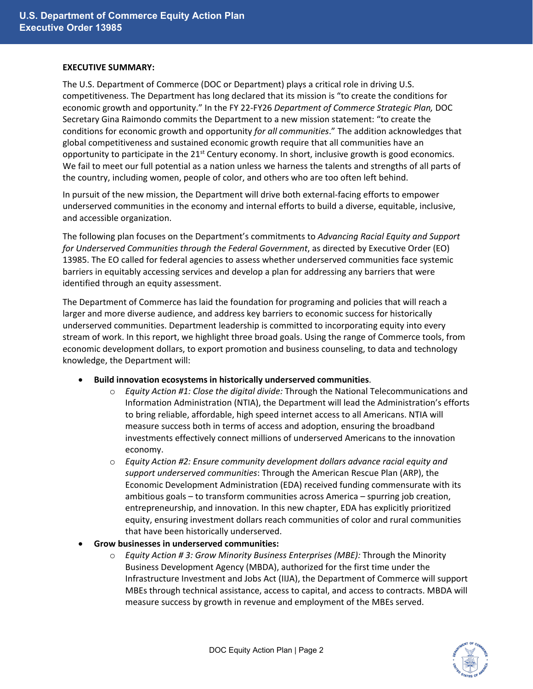#### **EXECUTIVE SUMMARY:**

The U.S. Department of Commerce (DOC or Department) plays a critical role in driving U.S. competitiveness. The Department has long declared that its mission is "to create the conditions for economic growth and opportunity." In the FY 22-FY26 *Department of Commerce Strategic Plan,* DOC Secretary Gina Raimondo commits the Department to a new mission statement: "to create the conditions for economic growth and opportunity *for all communities*." The addition acknowledges that global competitiveness and sustained economic growth require that all communities have an opportunity to participate in the  $21<sup>st</sup>$  Century economy. In short, inclusive growth is good economics. We fail to meet our full potential as a nation unless we harness the talents and strengths of all parts of the country, including women, people of color, and others who are too often left behind.

In pursuit of the new mission, the Department will drive both external-facing efforts to empower underserved communities in the economy and internal efforts to build a diverse, equitable, inclusive, and accessible organization.

The following plan focuses on the Department's commitments to *Advancing Racial Equity and Support for Underserved Communities through the Federal Government*, as directed by Executive Order (EO) 13985. The EO called for federal agencies to assess whether underserved communities face systemic barriers in equitably accessing services and develop a plan for addressing any barriers that were identified through an equity assessment.

The Department of Commerce has laid the foundation for programing and policies that will reach a larger and more diverse audience, and address key barriers to economic success for historically underserved communities. Department leadership is committed to incorporating equity into every stream of work. In this report, we highlight three broad goals. Using the range of Commerce tools, from economic development dollars, to export promotion and business counseling, to data and technology knowledge, the Department will:

- **Build innovation ecosystems in historically underserved communities**.
	- o *Equity Action #1: Close the digital divide:* Through the National Telecommunications and Information Administration (NTIA), the Department will lead the Administration's efforts to bring reliable, affordable, high speed internet access to all Americans. NTIA will measure success both in terms of access and adoption, ensuring the broadband investments effectively connect millions of underserved Americans to the innovation economy.
	- o *Equity Action #2: Ensure community development dollars advance racial equity and support underserved communities*: Through the American Rescue Plan (ARP), the Economic Development Administration (EDA) received funding commensurate with its ambitious goals – to transform communities across America – spurring job creation, entrepreneurship, and innovation. In this new chapter, EDA has explicitly prioritized equity, ensuring investment dollars reach communities of color and rural communities that have been historically underserved.
- **Grow businesses in underserved communities:** 
	- o *Equity Action # 3: Grow Minority Business Enterprises (MBE):* Through the Minority Business Development Agency (MBDA), authorized for the first time under the Infrastructure Investment and Jobs Act (IIJA), the Department of Commerce will support MBEs through technical assistance, access to capital, and access to contracts. MBDA will measure success by growth in revenue and employment of the MBEs served.

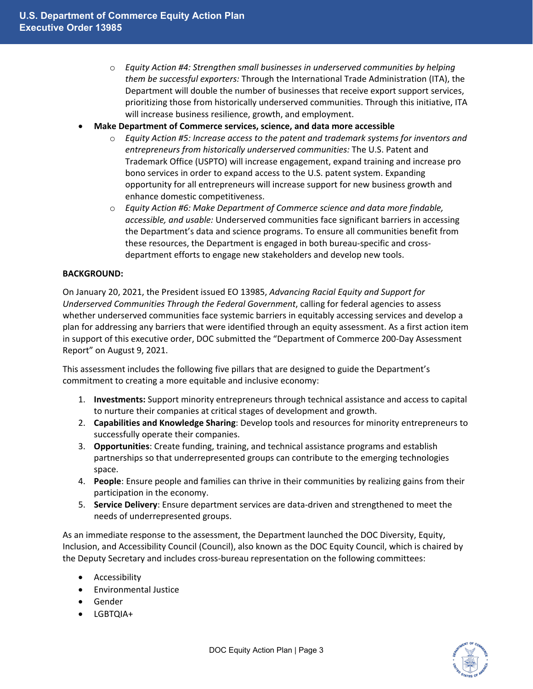- o *Equity Action #4: Strengthen small businesses in underserved communities by helping them be successful exporters:* Through the International Trade Administration (ITA), the Department will double the number of businesses that receive export support services, prioritizing those from historically underserved communities. Through this initiative, ITA will increase business resilience, growth, and employment.
- **Make Department of Commerce services, science, and data more accessible**
	- o *Equity Action #5: Increase access to the patent and trademark systems for inventors and entrepreneurs from historically underserved communities:* The U.S. Patent and Trademark Office (USPTO) will increase engagement, expand training and increase pro bono services in order to expand access to the U.S. patent system. Expanding opportunity for all entrepreneurs will increase support for new business growth and enhance domestic competitiveness.
	- o *Equity Action #6: Make Department of Commerce science and data more findable, accessible, and usable:* Underserved communities face significant barriers in accessing the Department's data and science programs. To ensure all communities benefit from these resources, the Department is engaged in both bureau-specific and crossdepartment efforts to engage new stakeholders and develop new tools.

#### **BACKGROUND:**

On January 20, 2021, the President issued EO 13985, *Advancing Racial Equity and Support for Underserved Communities Through the Federal Government*, calling for federal agencies to assess whether underserved communities face systemic barriers in equitably accessing services and develop a plan for addressing any barriers that were identified through an equity assessment. As a first action item in support of this executive order, DOC submitted the "Department of Commerce 200-Day Assessment Report" on August 9, 2021.

This assessment includes the following five pillars that are designed to guide the Department's commitment to creating a more equitable and inclusive economy:

- 1. **Investments:** Support minority entrepreneurs through technical assistance and access to capital to nurture their companies at critical stages of development and growth.
- 2. **Capabilities and Knowledge Sharing**: Develop tools and resources for minority entrepreneurs to successfully operate their companies.
- 3. **Opportunities**: Create funding, training, and technical assistance programs and establish partnerships so that underrepresented groups can contribute to the emerging technologies space.
- 4. **People**: Ensure people and families can thrive in their communities by realizing gains from their participation in the economy.
- 5. **Service Delivery**: Ensure department services are data-driven and strengthened to meet the needs of underrepresented groups.

As an immediate response to the assessment, the Department launched the DOC Diversity, Equity, Inclusion, and Accessibility Council (Council), also known as the DOC Equity Council, which is chaired by the Deputy Secretary and includes cross-bureau representation on the following committees:

- Accessibility
- Environmental Justice
- Gender
- LGBTQIA+

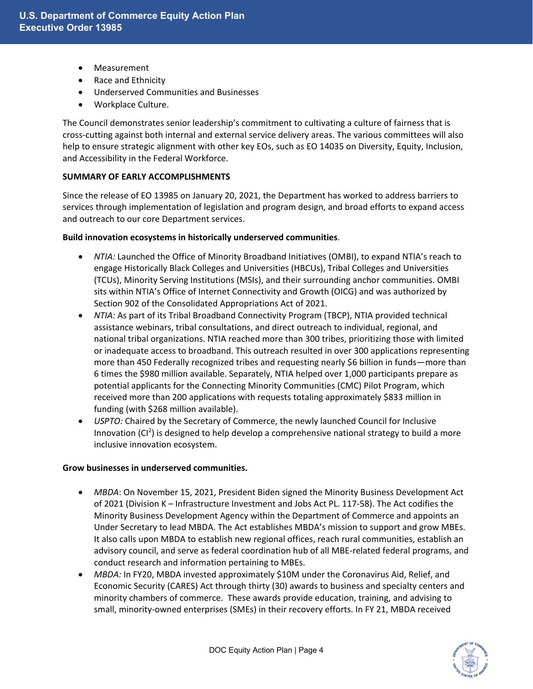- Measurement
- Race and Ethnicity
- Underserved Communities and Businesses
- Workplace Culture.

The Council demonstrates senior leadership's commitment to cultivating a culture of fairness that is cross-cutting against both internal and external service delivery areas. The various committees will also help to ensure strategic alignment with other key EOs, such as EO 14035 on Diversity, Equity, Inclusion, and Accessibility in the Federal Workforce.

#### **SUMMARY OF EARLY ACCOMPLISHMENTS**

Since the release of EO 13985 on January 20, 2021, the Department has worked to address barriers to services through implementation of legislation and program design, and broad efforts to expand access and outreach to our core Department services.

#### **Build innovation ecosystems in historically underserved communities**.

- *NTIA:* Launched the Office of Minority Broadband Initiatives (OMBI), to expand NTIA's reach to engage Historically Black Colleges and Universities (HBCUs), Tribal Colleges and Universities (TCUs), Minority Serving Institutions (MSIs), and their surrounding anchor communities. OMBI sits within NTIA's Office of Internet Connectivity and Growth (OICG) and was authorized by Section 902 of the Consolidated Appropriations Act of 2021.
- *NTIA:* As part of its Tribal Broadband Connectivity Program (TBCP), NTIA provided technical assistance webinars, tribal consultations, and direct outreach to individual, regional, and national tribal organizations. NTIA reached more than 300 tribes, prioritizing those with limited or inadequate access to broadband. This outreach resulted in over 300 applications representing more than 450 Federally recognized tribes and requesting nearly \$6 billion in funds—more than 6 times the \$980 million available. Separately, NTIA helped over 1,000 participants prepare as potential applicants for the Connecting Minority Communities (CMC) Pilot Program, which received more than 200 applications with requests totaling approximately \$833 million in funding (with \$268 million available).
- *USPTO:* Chaired by the Secretary of Commerce, the newly launched Council for Inclusive Innovation (CI<sup>2</sup>) is designed to help develop a comprehensive national strategy to build a more inclusive innovation ecosystem.

#### **Grow businesses in underserved communities.**

- *MBDA*: On November 15, 2021, President Biden signed the Minority Business Development Act of 2021 (Division K – Infrastructure Investment and Jobs Act PL. 117-58). The Act codifies the Minority Business Development Agency within the Department of Commerce and appoints an Under Secretary to lead MBDA. The Act establishes MBDA's mission to support and grow MBEs. It also calls upon MBDA to establish new regional offices, reach rural communities, establish an advisory council, and serve as federal coordination hub of all MBE-related federal programs, and conduct research and information pertaining to MBEs.
- *MBDA: In FY20, MBDA invested approximately* \$10M under the Coronavirus Aid, Relief, and Economic Security (CARES) Act through thirty (30) awards to business and specialty centers and minority chambers of commerce. These awards provide education, training, and advising to small, minority-owned enterprises (SMEs) in their recovery efforts. In FY 21, MBDA received

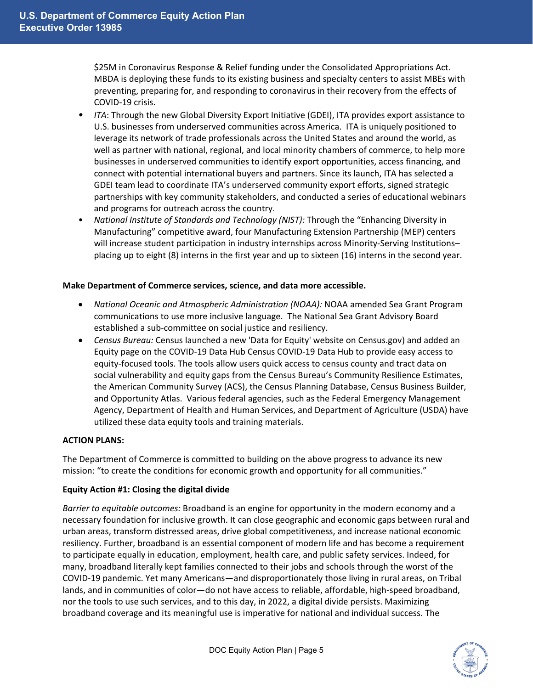\$25M in Coronavirus Response & Relief funding under the Consolidated Appropriations Act. MBDA is deploying these funds to its existing business and specialty centers to assist MBEs with preventing, preparing for, and responding to coronavirus in their recovery from the effects of COVID-19 crisis.

- *ITA*: Through the new Global Diversity Export Initiative (GDEI), ITA provides export assistance to U.S. businesses from underserved communities across America. ITA is uniquely positioned to leverage its network of trade professionals across the United States and around the world, as well as partner with national, regional, and local minority chambers of commerce, to help more businesses in underserved communities to identify export opportunities, access financing, and connect with potential international buyers and partners. Since its launch, ITA has selected a GDEI team lead to coordinate ITA's underserved community export efforts, signed strategic partnerships with key community stakeholders, and conducted a series of educational webinars and programs for outreach across the country.
- *National Institute of Standards and Technology (NIST):* Through the "Enhancing Diversity in Manufacturing" competitive award, four Manufacturing Extension Partnership (MEP) centers will increase student participation in industry internships across Minority-Serving Institutions– placing up to eight (8) interns in the first year and up to sixteen (16) interns in the second year.

#### **Make Department of Commerce services, science, and data more accessible.**

- *National Oceanic and Atmospheric Administration (NOAA):* NOAA amended Sea Grant Program communications to use more inclusive language. The National Sea Grant Advisory Board established a sub-committee on social justice and resiliency.
- *Census Bureau:* Census launched a new 'Data for Equity' website on Census.gov) and added an Equity page on the COVID-19 Data Hub Census COVID-19 Data Hub to provide easy access to equity-focused tools. The tools allow users quick access to census county and tract data on social vulnerability and equity gaps from the Census Bureau's Community Resilience Estimates, the American Community Survey (ACS), the Census Planning Database, Census Business Builder, and Opportunity Atlas. Various federal agencies, such as the Federal Emergency Management Agency, Department of Health and Human Services, and Department of Agriculture (USDA) have utilized these data equity tools and training materials.

## **ACTION PLANS:**

The Department of Commerce is committed to building on the above progress to advance its new mission: "to create the conditions for economic growth and opportunity for all communities."

## **Equity Action #1: Closing the digital divide**

*Barrier to equitable outcomes:* Broadband is an engine for opportunity in the modern economy and a necessary foundation for inclusive growth. It can close geographic and economic gaps between rural and urban areas, transform distressed areas, drive global competitiveness, and increase national economic resiliency. Further, broadband is an essential component of modern life and has become a requirement to participate equally in education, employment, health care, and public safety services. Indeed, for many, broadband literally kept families connected to their jobs and schools through the worst of the COVID-19 pandemic. Yet many Americans—and disproportionately those living in rural areas, on Tribal lands, and in communities of color—do not have access to reliable, affordable, high-speed broadband, nor the tools to use such services, and to this day, in 2022, a digital divide persists. Maximizing broadband coverage and its meaningful use is imperative for national and individual success. The

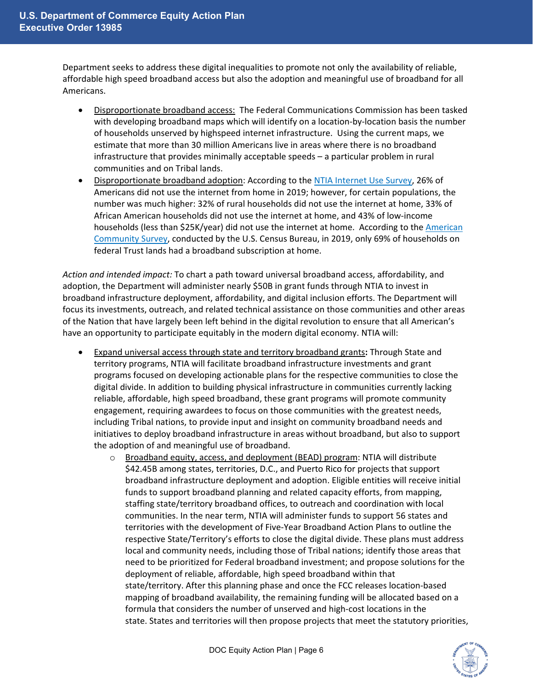Department seeks to address these digital inequalities to promote not only the availability of reliable, affordable high speed broadband access but also the adoption and meaningful use of broadband for all Americans.

- Disproportionate broadband access: The Federal Communications Commission has been tasked with developing broadband maps which will identify on a location-by-location basis the number of households unserved by highspeed internet infrastructure. Using the current maps, we estimate that more than 30 million Americans live in areas where there is no broadband infrastructure that provides minimally acceptable speeds – a particular problem in rural communities and on Tribal lands.
- Disproportionate broadband adoption: According to the [NTIA Internet Use Survey,](https://www.ntia.gov/data/digital-nation-data-explorer#sel=homeInternetUser&demo=&pc=prop&disp=chart) 26% of Americans did not use the internet from home in 2019; however, for certain populations, the number was much higher: 32% of rural households did not use the internet at home, 33% of African American households did not use the internet at home, and 43% of low-income households (less than \$25K/year) did not use the internet at home. According to the American [Community Survey,](https://data.census.gov/cedsci/table?q=S2801%3A%20TYPES%20OF%20COMPUTERS%20AND%20INTERNET%20SUBSCRIPTIONS&g=0100000US_0100089US_0100090US_0100095US&tid=ACSST1Y2019.S2801) conducted by the U.S. Census Bureau, in 2019, only 69% of households on federal Trust lands had a broadband subscription at home.

*Action and intended impact:* To chart a path toward universal broadband access, affordability, and adoption, the Department will administer nearly \$50B in grant funds through NTIA to invest in broadband infrastructure deployment, affordability, and digital inclusion efforts. The Department will focus its investments, outreach, and related technical assistance on those communities and other areas of the Nation that have largely been left behind in the digital revolution to ensure that all American's have an opportunity to participate equitably in the modern digital economy. NTIA will:

- Expand universal access through state and territory broadband grants**:** Through State and territory programs, NTIA will facilitate broadband infrastructure investments and grant programs focused on developing actionable plans for the respective communities to close the digital divide. In addition to building physical infrastructure in communities currently lacking reliable, affordable, high speed broadband, these grant programs will promote community engagement, requiring awardees to focus on those communities with the greatest needs, including Tribal nations, to provide input and insight on community broadband needs and initiatives to deploy broadband infrastructure in areas without broadband, but also to support the adoption of and meaningful use of broadband.
	- $\circ$  Broadband equity, access, and deployment (BEAD) program: NTIA will distribute \$42.45B among states, territories, D.C., and Puerto Rico for projects that support broadband infrastructure deployment and adoption. Eligible entities will receive initial funds to support broadband planning and related capacity efforts, from mapping, staffing state/territory broadband offices, to outreach and coordination with local communities. In the near term, NTIA will administer funds to support 56 states and territories with the development of Five-Year Broadband Action Plans to outline the respective State/Territory's efforts to close the digital divide. These plans must address local and community needs, including those of Tribal nations; identify those areas that need to be prioritized for Federal broadband investment; and propose solutions for the deployment of reliable, affordable, high speed broadband within that state/territory. After this planning phase and once the FCC releases location-based mapping of broadband availability, the remaining funding will be allocated based on a formula that considers the number of unserved and high-cost locations in the state. States and territories will then propose projects that meet the statutory priorities,

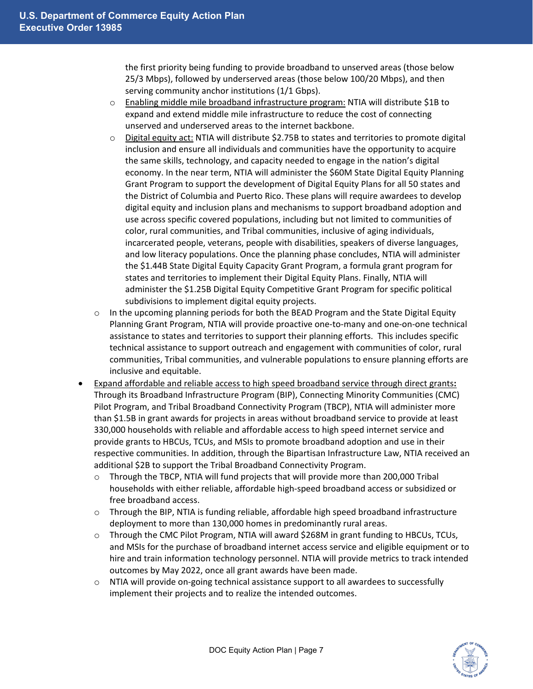the first priority being funding to provide broadband to unserved areas (those below 25/3 Mbps), followed by underserved areas (those below 100/20 Mbps), and then serving community anchor institutions (1/1 Gbps).

- $\circ$  Enabling middle mile broadband infrastructure program: NTIA will distribute \$1B to expand and extend middle mile infrastructure to reduce the cost of connecting unserved and underserved areas to the internet backbone.
- $\circ$  Digital equity act: NTIA will distribute \$2.75B to states and territories to promote digital inclusion and ensure all individuals and communities have the opportunity to acquire the same skills, technology, and capacity needed to engage in the nation's digital economy. In the near term, NTIA will administer the \$60M State Digital Equity Planning Grant Program to support the development of Digital Equity Plans for all 50 states and the District of Columbia and Puerto Rico. These plans will require awardees to develop digital equity and inclusion plans and mechanisms to support broadband adoption and use across specific covered populations, including but not limited to communities of color, rural communities, and Tribal communities, inclusive of aging individuals, incarcerated people, veterans, people with disabilities, speakers of diverse languages, and low literacy populations. Once the planning phase concludes, NTIA will administer the \$1.44B State Digital Equity Capacity Grant Program, a formula grant program for states and territories to implement their Digital Equity Plans. Finally, NTIA will administer the \$1.25B Digital Equity Competitive Grant Program for specific political subdivisions to implement digital equity projects.
- $\circ$  In the upcoming planning periods for both the BEAD Program and the State Digital Equity Planning Grant Program, NTIA will provide proactive one-to-many and one-on-one technical assistance to states and territories to support their planning efforts. This includes specific technical assistance to support outreach and engagement with communities of color, rural communities, Tribal communities, and vulnerable populations to ensure planning efforts are inclusive and equitable.
- Expand affordable and reliable access to high speed broadband service through direct grants**:** Through its Broadband Infrastructure Program (BIP), Connecting Minority Communities (CMC) Pilot Program, and Tribal Broadband Connectivity Program (TBCP), NTIA will administer more than \$1.5B in grant awards for projects in areas without broadband service to provide at least 330,000 households with reliable and affordable access to high speed internet service and provide grants to HBCUs, TCUs, and MSIs to promote broadband adoption and use in their respective communities. In addition, through the Bipartisan Infrastructure Law, NTIA received an additional \$2B to support the Tribal Broadband Connectivity Program.
	- $\circ$  Through the TBCP, NTIA will fund projects that will provide more than 200,000 Tribal households with either reliable, affordable high-speed broadband access or subsidized or free broadband access.
	- o Through the BIP, NTIA is funding reliable, affordable high speed broadband infrastructure deployment to more than 130,000 homes in predominantly rural areas.
	- o Through the CMC Pilot Program, NTIA will award \$268M in grant funding to HBCUs, TCUs, and MSIs for the purchase of broadband internet access service and eligible equipment or to hire and train information technology personnel. NTIA will provide metrics to track intended outcomes by May 2022, once all grant awards have been made.
	- o NTIA will provide on-going technical assistance support to all awardees to successfully implement their projects and to realize the intended outcomes.

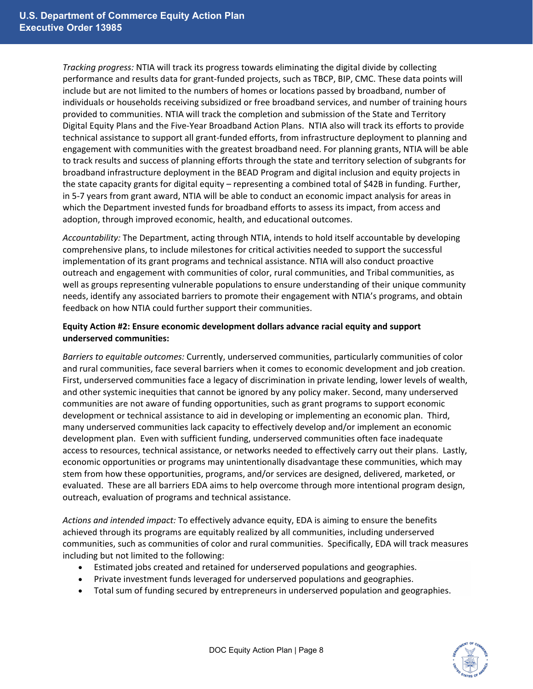*Tracking progress:* NTIA will track its progress towards eliminating the digital divide by collecting performance and results data for grant-funded projects, such as TBCP, BIP, CMC. These data points will include but are not limited to the numbers of homes or locations passed by broadband, number of individuals or households receiving subsidized or free broadband services, and number of training hours provided to communities. NTIA will track the completion and submission of the State and Territory Digital Equity Plans and the Five-Year Broadband Action Plans. NTIA also will track its efforts to provide technical assistance to support all grant-funded efforts, from infrastructure deployment to planning and engagement with communities with the greatest broadband need. For planning grants, NTIA will be able to track results and success of planning efforts through the state and territory selection of subgrants for broadband infrastructure deployment in the BEAD Program and digital inclusion and equity projects in the state capacity grants for digital equity – representing a combined total of \$42B in funding. Further, in 5-7 years from grant award, NTIA will be able to conduct an economic impact analysis for areas in which the Department invested funds for broadband efforts to assess its impact, from access and adoption, through improved economic, health, and educational outcomes.

*Accountability:* The Department, acting through NTIA, intends to hold itself accountable by developing comprehensive plans, to include milestones for critical activities needed to support the successful implementation of its grant programs and technical assistance. NTIA will also conduct proactive outreach and engagement with communities of color, rural communities, and Tribal communities, as well as groups representing vulnerable populations to ensure understanding of their unique community needs, identify any associated barriers to promote their engagement with NTIA's programs, and obtain feedback on how NTIA could further support their communities.

## **Equity Action #2: Ensure economic development dollars advance racial equity and support underserved communities:**

*Barriers to equitable outcomes:* Currently, underserved communities, particularly communities of color and rural communities, face several barriers when it comes to economic development and job creation. First, underserved communities face a legacy of discrimination in private lending, lower levels of wealth, and other systemic inequities that cannot be ignored by any policy maker. Second, many underserved communities are not aware of funding opportunities, such as grant programs to support economic development or technical assistance to aid in developing or implementing an economic plan. Third, many underserved communities lack capacity to effectively develop and/or implement an economic development plan. Even with sufficient funding, underserved communities often face inadequate access to resources, technical assistance, or networks needed to effectively carry out their plans. Lastly, economic opportunities or programs may unintentionally disadvantage these communities, which may stem from how these opportunities, programs, and/or services are designed, delivered, marketed, or evaluated. These are all barriers EDA aims to help overcome through more intentional program design, outreach, evaluation of programs and technical assistance.

*Actions and intended impact:* To effectively advance equity, EDA is aiming to ensure the benefits achieved through its programs are equitably realized by all communities, including underserved communities, such as communities of color and rural communities. Specifically, EDA will track measures including but not limited to the following:

- Estimated jobs created and retained for underserved populations and geographies.
- Private investment funds leveraged for underserved populations and geographies.
- Total sum of funding secured by entrepreneurs in underserved population and geographies.

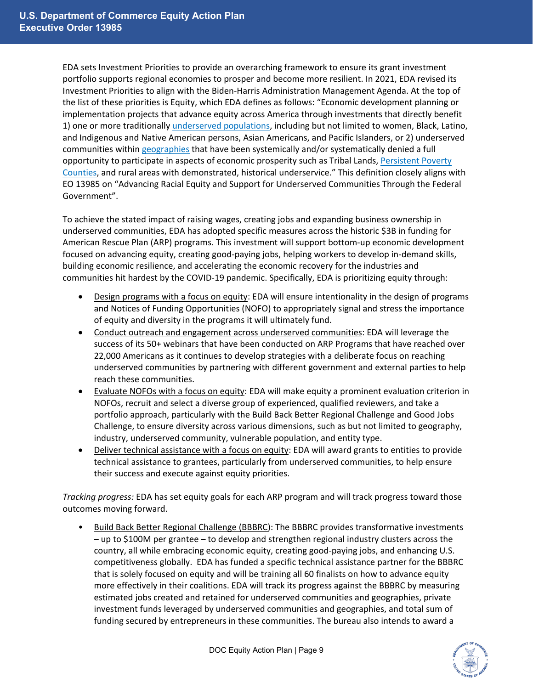EDA sets Investment Priorities to provide an overarching framework to ensure its grant investment portfolio supports regional economies to prosper and become more resilient. In 2021, EDA revised its Investment Priorities to align with the Biden-Harris Administration Management Agenda. At the top of the list of these priorities is Equity, which EDA defines as follows: "Economic development planning or implementation projects that advance equity across America through investments that directly benefit 1) one or more traditionally [underserved populations,](https://eda.gov/files/about/investment-priorities/EDA-FY21-Investment-Priorities-Definitions-July.pdf) including but not limited to women, Black, Latino, and Indigenous and Native American persons, Asian Americans, and Pacific Islanders, or 2) underserved communities within [geographies](https://eda.gov/files/about/investment-priorities/EDA-FY21-Investment-Priorities-Definitions-July.pdf) that have been systemically and/or systematically denied a full opportunity to participate in aspects of economic prosperity such as Tribal Lands, [Persistent Poverty](https://eda.gov/files/about/investment-priorities/FY2021_PPCs.xlsx)  [Counties,](https://eda.gov/files/about/investment-priorities/FY2021_PPCs.xlsx) and rural areas with demonstrated, historical underservice." This definition closely aligns with EO 13985 on "Advancing Racial Equity and Support for Underserved Communities Through the Federal Government".

To achieve the stated impact of raising wages, creating jobs and expanding business ownership in underserved communities, EDA has adopted specific measures across the historic \$3B in funding for American Rescue Plan (ARP) programs. This investment will support bottom-up economic development focused on advancing equity, creating good-paying jobs, helping workers to develop in-demand skills, building economic resilience, and accelerating the economic recovery for the industries and communities hit hardest by the COVID-19 pandemic. Specifically, EDA is prioritizing equity through:

- Design programs with a focus on equity: EDA will ensure intentionality in the design of programs and Notices of Funding Opportunities (NOFO) to appropriately signal and stress the importance of equity and diversity in the programs it will ultimately fund.
- Conduct outreach and engagement across underserved communities: EDA will leverage the success of its 50+ webinars that have been conducted on ARP Programs that have reached over 22,000 Americans as it continues to develop strategies with a deliberate focus on reaching underserved communities by partnering with different government and external parties to help reach these communities.
- Evaluate NOFOs with a focus on equity: EDA will make equity a prominent evaluation criterion in NOFOs, recruit and select a diverse group of experienced, qualified reviewers, and take a portfolio approach, particularly with the Build Back Better Regional Challenge and Good Jobs Challenge, to ensure diversity across various dimensions, such as but not limited to geography, industry, underserved community, vulnerable population, and entity type.
- Deliver technical assistance with a focus on equity: EDA will award grants to entities to provide technical assistance to grantees, particularly from underserved communities, to help ensure their success and execute against equity priorities.

*Tracking progress:* EDA has set equity goals for each ARP program and will track progress toward those outcomes moving forward.

• Build Back Better Regional Challenge (BBBRC): The BBBRC provides transformative investments – up to \$100M per grantee – to develop and strengthen regional industry clusters across the country, all while embracing economic equity, creating good-paying jobs, and enhancing U.S. competitiveness globally. EDA has funded a specific technical assistance partner for the BBBRC that is solely focused on equity and will be training all 60 finalists on how to advance equity more effectively in their coalitions. EDA will track its progress against the BBBRC by measuring estimated jobs created and retained for underserved communities and geographies, private investment funds leveraged by underserved communities and geographies, and total sum of funding secured by entrepreneurs in these communities. The bureau also intends to award a

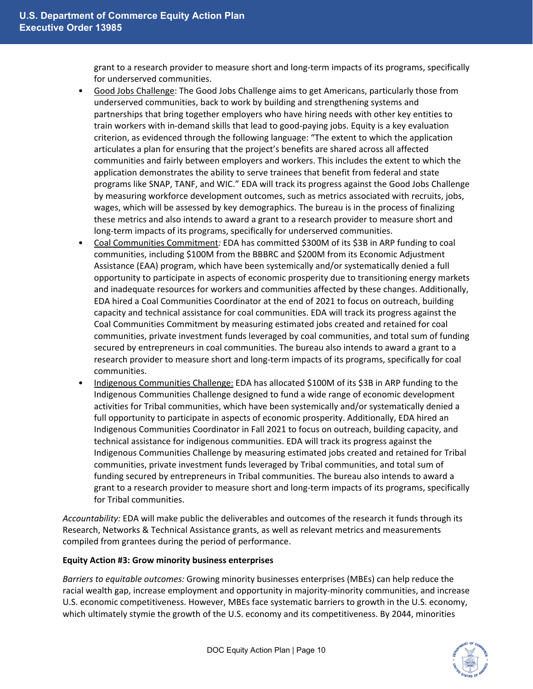grant to a research provider to measure short and long-term impacts of its programs, specifically for underserved communities.

- Good Jobs Challenge: The Good Jobs Challenge aims to get Americans, particularly those from underserved communities, back to work by building and strengthening systems and partnerships that bring together employers who have hiring needs with other key entities to train workers with in-demand skills that lead to good-paying jobs. Equity is a key evaluation criterion, as evidenced through the following language: "The extent to which the application articulates a plan for ensuring that the project's benefits are shared across all affected communities and fairly between employers and workers. This includes the extent to which the application demonstrates the ability to serve trainees that benefit from federal and state programs like SNAP, TANF, and WIC." EDA will track its progress against the Good Jobs Challenge by measuring workforce development outcomes, such as metrics associated with recruits, jobs, wages, which will be assessed by key demographics. The bureau is in the process of finalizing these metrics and also intends to award a grant to a research provider to measure short and long-term impacts of its programs, specifically for underserved communities.
- Coal Communities Commitment*:* EDA has committed \$300M of its \$3B in ARP funding to coal communities, including \$100M from the BBBRC and \$200M from its Economic Adjustment Assistance (EAA) program, which have been systemically and/or systematically denied a full opportunity to participate in aspects of economic prosperity due to transitioning energy markets and inadequate resources for workers and communities affected by these changes. Additionally, EDA hired a Coal Communities Coordinator at the end of 2021 to focus on outreach, building capacity and technical assistance for coal communities. EDA will track its progress against the Coal Communities Commitment by measuring estimated jobs created and retained for coal communities, private investment funds leveraged by coal communities, and total sum of funding secured by entrepreneurs in coal communities. The bureau also intends to award a grant to a research provider to measure short and long-term impacts of its programs, specifically for coal communities.
- Indigenous Communities Challenge: EDA has allocated \$100M of its \$3B in ARP funding to the Indigenous Communities Challenge designed to fund a wide range of economic development activities for Tribal communities, which have been systemically and/or systematically denied a full opportunity to participate in aspects of economic prosperity. Additionally, EDA hired an Indigenous Communities Coordinator in Fall 2021 to focus on outreach, building capacity, and technical assistance for indigenous communities. EDA will track its progress against the Indigenous Communities Challenge by measuring estimated jobs created and retained for Tribal communities, private investment funds leveraged by Tribal communities, and total sum of funding secured by entrepreneurs in Tribal communities. The bureau also intends to award a grant to a research provider to measure short and long-term impacts of its programs, specifically for Tribal communities.

*Accountability:* EDA will make public the deliverables and outcomes of the research it funds through its Research, Networks & Technical Assistance grants, as well as relevant metrics and measurements compiled from grantees during the period of performance.

## **Equity Action #3: Grow minority business enterprises**

*Barriers to equitable outcomes:* Growing minority businesses enterprises (MBEs) can help reduce the racial wealth gap, increase employment and opportunity in majority-minority communities, and increase U.S. economic competitiveness. However, MBEs face systematic barriers to growth in the U.S. economy, which ultimately stymie the growth of the U.S. economy and its competitiveness. By 2044, minorities

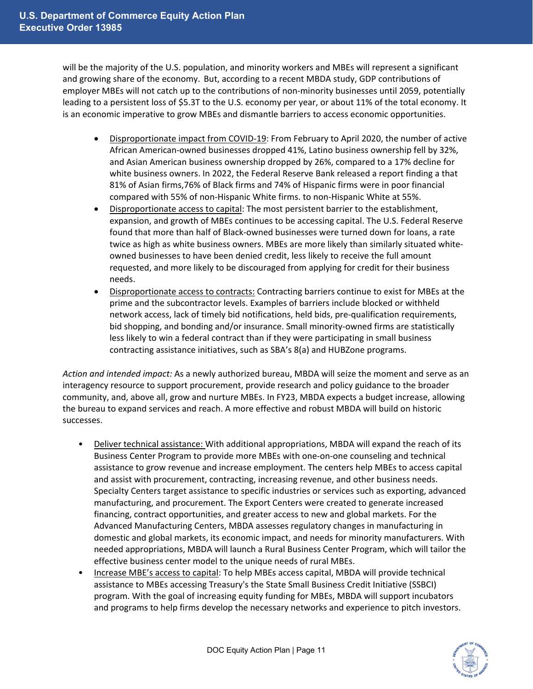will be the majority of the U.S. population, and minority workers and MBEs will represent a significant and growing share of the economy. But, according to a recent MBDA study, GDP contributions of employer MBEs will not catch up to the contributions of non-minority businesses until 2059, potentially leading to a persistent loss of \$5.3T to the U.S. economy per year, or about 11% of the total economy. It is an economic imperative to grow MBEs and dismantle barriers to access economic opportunities.

- Disproportionate impact from COVID-19: From February to April 2020, the number of active African American-owned businesses dropped 41%, Latino business ownership fell by 32%, and Asian American business ownership dropped by 26%, compared to a 17% decline for white business owners. In 2022, the Federal Reserve Bank released a report finding a that 81% of Asian firms,76% of Black firms and 74% of Hispanic firms were in poor financial compared with 55% of non-Hispanic White firms. to non-Hispanic White at 55%.
- Disproportionate access to capital: The most persistent barrier to the establishment, expansion, and growth of MBEs continues to be accessing capital. The U.S. Federal Reserve found that more than half of Black-owned businesses were turned down for loans, a rate twice as high as white business owners. MBEs are more likely than similarly situated whiteowned businesses to have been denied credit, less likely to receive the full amount requested, and more likely to be discouraged from applying for credit for their business needs.
- Disproportionate access to contracts: Contracting barriers continue to exist for MBEs at the prime and the subcontractor levels. Examples of barriers include blocked or withheld network access, lack of timely bid notifications, held bids, pre-qualification requirements, bid shopping, and bonding and/or insurance. Small minority-owned firms are statistically less likely to win a federal contract than if they were participating in small business contracting assistance initiatives, such as SBA's 8(a) and HUBZone programs.

*Action and intended impact:* As a newly authorized bureau, MBDA will seize the moment and serve as an interagency resource to support procurement, provide research and policy guidance to the broader community, and, above all, grow and nurture MBEs. In FY23, MBDA expects a budget increase, allowing the bureau to expand services and reach. A more effective and robust MBDA will build on historic successes.

- Deliver technical assistance: With additional appropriations, MBDA will expand the reach of its Business Center Program to provide more MBEs with one-on-one counseling and technical assistance to grow revenue and increase employment. The centers help MBEs to access capital and assist with procurement, contracting, increasing revenue, and other business needs. Specialty Centers target assistance to specific industries or services such as exporting, advanced manufacturing, and procurement. The Export Centers were created to generate increased financing, contract opportunities, and greater access to new and global markets. For the Advanced Manufacturing Centers, MBDA assesses regulatory changes in manufacturing in domestic and global markets, its economic impact, and needs for minority manufacturers. With needed appropriations, MBDA will launch a Rural Business Center Program, which will tailor the effective business center model to the unique needs of rural MBEs.
- Increase MBE's access to capital: To help MBEs access capital, MBDA will provide technical assistance to MBEs accessing Treasury's the State Small Business Credit Initiative (SSBCI) program. With the goal of increasing equity funding for MBEs, MBDA will support incubators and programs to help firms develop the necessary networks and experience to pitch investors.

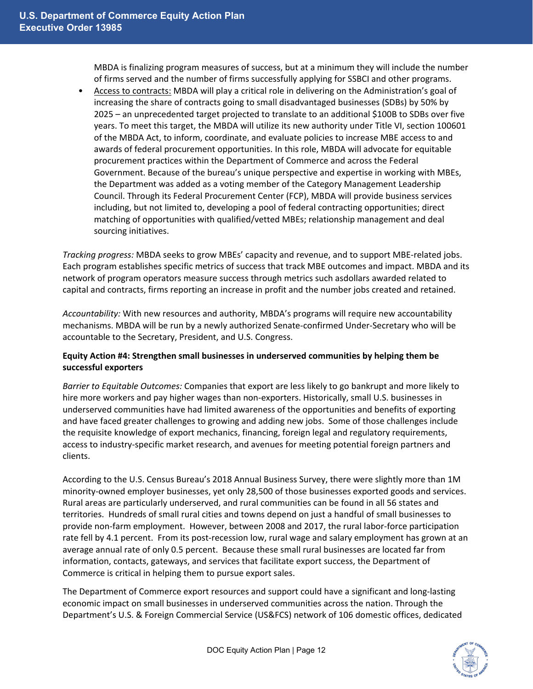MBDA is finalizing program measures of success, but at a minimum they will include the number of firms served and the number of firms successfully applying for SSBCI and other programs.

• Access to contracts: MBDA will play a critical role in delivering on the Administration's goal of increasing the share of contracts going to small disadvantaged businesses (SDBs) by 50% by 2025 – an unprecedented target projected to translate to an additional \$100B to SDBs over five years. To meet this target, the MBDA will utilize its new authority under Title VI, section 100601 of the MBDA Act, to inform, coordinate, and evaluate policies to increase MBE access to and awards of federal procurement opportunities. In this role, MBDA will advocate for equitable procurement practices within the Department of Commerce and across the Federal Government. Because of the bureau's unique perspective and expertise in working with MBEs, the Department was added as a voting member of the Category Management Leadership Council. Through its Federal Procurement Center (FCP), MBDA will provide business services including, but not limited to, developing a pool of federal contracting opportunities; direct matching of opportunities with qualified/vetted MBEs; relationship management and deal sourcing initiatives.

*Tracking progress:* MBDA seeks to grow MBEs' capacity and revenue, and to support MBE-related jobs. Each program establishes specific metrics of success that track MBE outcomes and impact. MBDA and its network of program operators measure success through metrics such asdollars awarded related to capital and contracts, firms reporting an increase in profit and the number jobs created and retained.

*Accountability:* With new resources and authority, MBDA's programs will require new accountability mechanisms. MBDA will be run by a newly authorized Senate-confirmed Under-Secretary who will be accountable to the Secretary, President, and U.S. Congress.

# **Equity Action #4: Strengthen small businesses in underserved communities by helping them be successful exporters**

*Barrier to Equitable Outcomes:* Companies that export are less likely to go bankrupt and more likely to hire more workers and pay higher wages than non-exporters. Historically, small U.S. businesses in underserved communities have had limited awareness of the opportunities and benefits of exporting and have faced greater challenges to growing and adding new jobs. Some of those challenges include the requisite knowledge of export mechanics, financing, foreign legal and regulatory requirements, access to industry-specific market research, and avenues for meeting potential foreign partners and clients.

According to the U.S. Census Bureau's 2018 Annual Business Survey, there were slightly more than 1M minority-owned employer businesses, yet only 28,500 of those businesses exported goods and services. Rural areas are particularly underserved, and rural communities can be found in all 56 states and territories. Hundreds of small rural cities and towns depend on just a handful of small businesses to provide non-farm employment. However, between 2008 and 2017, the rural labor-force participation rate fell by 4.1 percent. From its post-recession low, rural wage and salary employment has grown at an average annual rate of only 0.5 percent. Because these small rural businesses are located far from information, contacts, gateways, and services that facilitate export success, the Department of Commerce is critical in helping them to pursue export sales.

The Department of Commerce export resources and support could have a significant and long-lasting economic impact on small businesses in underserved communities across the nation. Through the Department's U.S. & Foreign Commercial Service (US&FCS) network of 106 domestic offices, dedicated

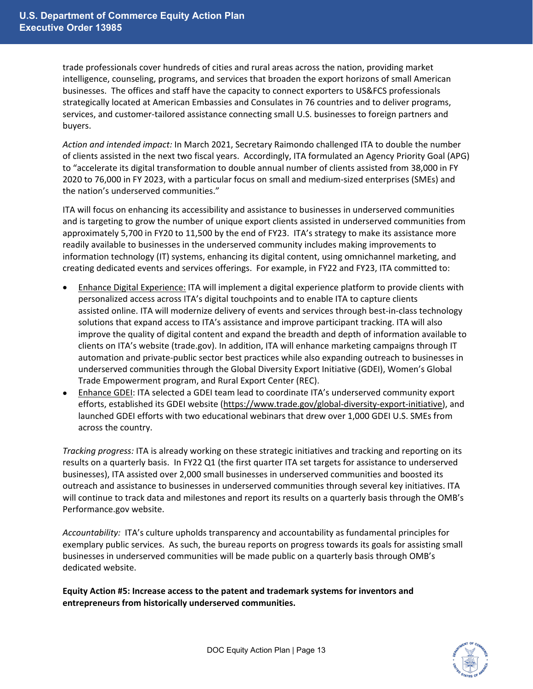trade professionals cover hundreds of cities and rural areas across the nation, providing market intelligence, counseling, programs, and services that broaden the export horizons of small American businesses. The offices and staff have the capacity to connect exporters to US&FCS professionals strategically located at American Embassies and Consulates in 76 countries and to deliver programs, services, and customer-tailored assistance connecting small U.S. businesses to foreign partners and buyers.

*Action and intended impact:* In March 2021, Secretary Raimondo challenged ITA to double the number of clients assisted in the next two fiscal years. Accordingly, ITA formulated an Agency Priority Goal (APG) to "accelerate its digital transformation to double annual number of clients assisted from 38,000 in FY 2020 to 76,000 in FY 2023, with a particular focus on small and medium-sized enterprises (SMEs) and the nation's underserved communities."

ITA will focus on enhancing its accessibility and assistance to businesses in underserved communities and is targeting to grow the number of unique export clients assisted in underserved communities from approximately 5,700 in FY20 to 11,500 by the end of FY23. ITA's strategy to make its assistance more readily available to businesses in the underserved community includes making improvements to information technology (IT) systems, enhancing its digital content, using omnichannel marketing, and creating dedicated events and services offerings. For example, in FY22 and FY23, ITA committed to:

- Enhance Digital Experience: ITA will implement a digital experience platform to provide clients with personalized access across ITA's digital touchpoints and to enable ITA to capture clients assisted online. ITA will modernize delivery of events and services through best-in-class technology solutions that expand access to ITA's assistance and improve participant tracking. ITA will also improve the quality of digital content and expand the breadth and depth of information available to clients on ITA's website (trade.gov). In addition, ITA will enhance marketing campaigns through IT automation and private-public sector best practices while also expanding outreach to businesses in underserved communities through the Global Diversity Export Initiative (GDEI), Women's Global Trade Empowerment program, and Rural Export Center (REC).
- Enhance GDEI: ITA selected a GDEI team lead to coordinate ITA's underserved community export efforts, established its GDEI website [\(https://www.trade.gov/global-diversity-export-initiative\)](https://www.trade.gov/global-diversity-export-initiative), and launched GDEI efforts with two educational webinars that drew over 1,000 GDEI U.S. SMEs from across the country.

*Tracking progress:* ITA is already working on these strategic initiatives and tracking and reporting on its results on a quarterly basis. In FY22 Q1 (the first quarter ITA set targets for assistance to underserved businesses), ITA assisted over 2,000 small businesses in underserved communities and boosted its outreach and assistance to businesses in underserved communities through several key initiatives. ITA will continue to track data and milestones and report its results on a quarterly basis through the OMB's Performance.gov website.

*Accountability:* ITA's culture upholds transparency and accountability as fundamental principles for exemplary public services. As such, the bureau reports on progress towards its goals for assisting small businesses in underserved communities will be made public on a quarterly basis through OMB's dedicated website.

**Equity Action #5: Increase access to the patent and trademark systems for inventors and entrepreneurs from historically underserved communities.**

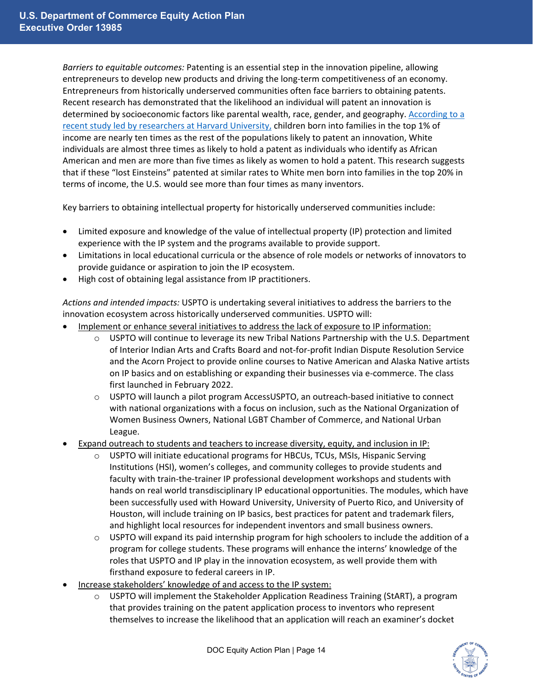*Barriers to equitable outcomes:* Patenting is an essential step in the innovation pipeline, allowing entrepreneurs to develop new products and driving the long-term competitiveness of an economy. Entrepreneurs from historically underserved communities often face barriers to obtaining patents. Recent research has demonstrated that the likelihood an individual will patent an innovation is determined by socioeconomic factors like parental wealth, race, gender, and geography[. According to a](http://www.equality-of-opportunity.org/assets/documents/inventors_paper.pdf)  [recent study led by researchers at Harvard University,](http://www.equality-of-opportunity.org/assets/documents/inventors_paper.pdf) children born into families in the top 1% of income are nearly ten times as the rest of the populations likely to patent an innovation, White individuals are almost three times as likely to hold a patent as individuals who identify as African American and men are more than five times as likely as women to hold a patent. This research suggests that if these "lost Einsteins" patented at similar rates to White men born into families in the top 20% in terms of income, the U.S. would see more than four times as many inventors.

Key barriers to obtaining intellectual property for historically underserved communities include:

- Limited exposure and knowledge of the value of intellectual property (IP) protection and limited experience with the IP system and the programs available to provide support.
- Limitations in local educational curricula or the absence of role models or networks of innovators to provide guidance or aspiration to join the IP ecosystem.
- High cost of obtaining legal assistance from IP practitioners.

*Actions and intended impacts:* USPTO is undertaking several initiatives to address the barriers to the innovation ecosystem across historically underserved communities. USPTO will:

- Implement or enhance several initiatives to address the lack of exposure to IP information:
	- USPTO will continue to leverage its new Tribal Nations Partnership with the U.S. Department of Interior Indian Arts and Crafts Board and not-for-profit Indian Dispute Resolution Service and the Acorn Project to provide online courses to Native American and Alaska Native artists on IP basics and on establishing or expanding their businesses via e-commerce. The class first launched in February 2022.
	- $\circ$  USPTO will launch a pilot program AccessUSPTO, an outreach-based initiative to connect with national organizations with a focus on inclusion, such as the National Organization of Women Business Owners, National LGBT Chamber of Commerce, and National Urban League.
- Expand outreach to students and teachers to increase diversity, equity, and inclusion in IP:
	- $\circ$  USPTO will initiate educational programs for HBCUs, TCUs, MSIs, Hispanic Serving Institutions (HSI), women's colleges, and community colleges to provide students and faculty with train-the-trainer IP professional development workshops and students with hands on real world transdisciplinary IP educational opportunities. The modules, which have been successfully used with Howard University, University of Puerto Rico, and University of Houston, will include training on IP basics, best practices for patent and trademark filers, and highlight local resources for independent inventors and small business owners.
	- $\circ$  USPTO will expand its paid internship program for high schoolers to include the addition of a program for college students. These programs will enhance the interns' knowledge of the roles that USPTO and IP play in the innovation ecosystem, as well provide them with firsthand exposure to federal careers in IP.
- Increase stakeholders' knowledge of and access to the IP system:
	- $\circ$  USPTO will implement the Stakeholder Application Readiness Training (StART), a program that provides training on the patent application process to inventors who represent themselves to increase the likelihood that an application will reach an examiner's docket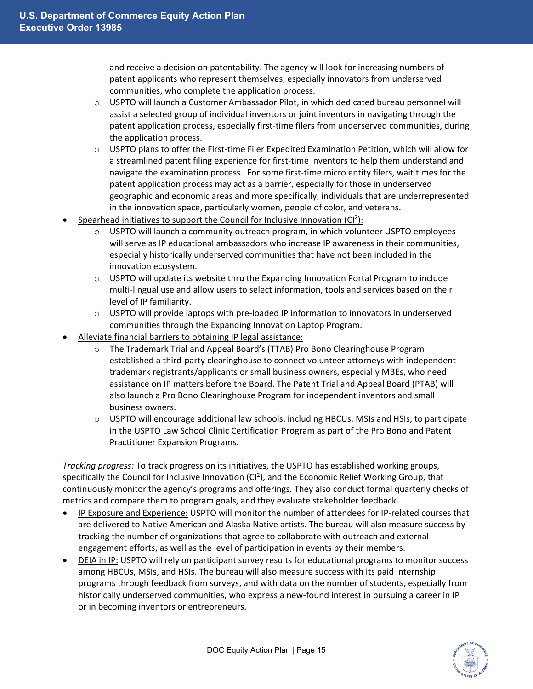and receive a decision on patentability. The agency will look for increasing numbers of patent applicants who represent themselves, especially innovators from underserved communities, who complete the application process.

- $\circ$  USPTO will launch a Customer Ambassador Pilot, in which dedicated bureau personnel will assist a selected group of individual inventors or joint inventors in navigating through the patent application process, especially first-time filers from underserved communities, during the application process.
- $\circ$  USPTO plans to offer the First-time Filer Expedited Examination Petition, which will allow for a streamlined patent filing experience for first-time inventors to help them understand and navigate the examination process. For some first-time micro entity filers, wait times for the patent application process may act as a barrier, especially for those in underserved geographic and economic areas and more specifically, individuals that are underrepresented in the innovation space, particularly women, people of color, and veterans.
- Spearhead initiatives to support the Council for Inclusive Innovation  $(Cl^2)$ :
	- $\circ$  USPTO will launch a community outreach program, in which volunteer USPTO employees will serve as IP educational ambassadors who increase IP awareness in their communities, especially historically underserved communities that have not been included in the innovation ecosystem.
	- $\circ$  USPTO will update its website thru the Expanding Innovation Portal Program to include multi-lingual use and allow users to select information, tools and services based on their level of IP familiarity.
	- $\circ$  USPTO will provide laptops with pre-loaded IP information to innovators in underserved communities through the Expanding Innovation Laptop Program.
- Alleviate financial barriers to obtaining IP legal assistance:
	- o The Trademark Trial and Appeal Board's (TTAB) Pro Bono Clearinghouse Program established a third-party clearinghouse to connect volunteer attorneys with independent trademark registrants/applicants or small business owners, especially MBEs, who need assistance on IP matters before the Board. The Patent Trial and Appeal Board (PTAB) will also launch a Pro Bono Clearinghouse Program for independent inventors and small business owners.
	- o USPTO will encourage additional law schools, including HBCUs, MSIs and HSIs, to participate in the USPTO Law School Clinic Certification Program as part of the Pro Bono and Patent Practitioner Expansion Programs.

*Tracking progress:* To track progress on its initiatives, the USPTO has established working groups, specifically the Council for Inclusive Innovation (CI<sup>2</sup>), and the Economic Relief Working Group, that continuously monitor the agency's programs and offerings. They also conduct formal quarterly checks of metrics and compare them to program goals, and they evaluate stakeholder feedback.

- IP Exposure and Experience: USPTO will monitor the number of attendees for IP-related courses that are delivered to Native American and Alaska Native artists. The bureau will also measure success by tracking the number of organizations that agree to collaborate with outreach and external engagement efforts, as well as the level of participation in events by their members.
- DEIA in IP: USPTO will rely on participant survey results for educational programs to monitor success among HBCUs, MSIs, and HSIs. The bureau will also measure success with its paid internship programs through feedback from surveys, and with data on the number of students, especially from historically underserved communities, who express a new-found interest in pursuing a career in IP or in becoming inventors or entrepreneurs.

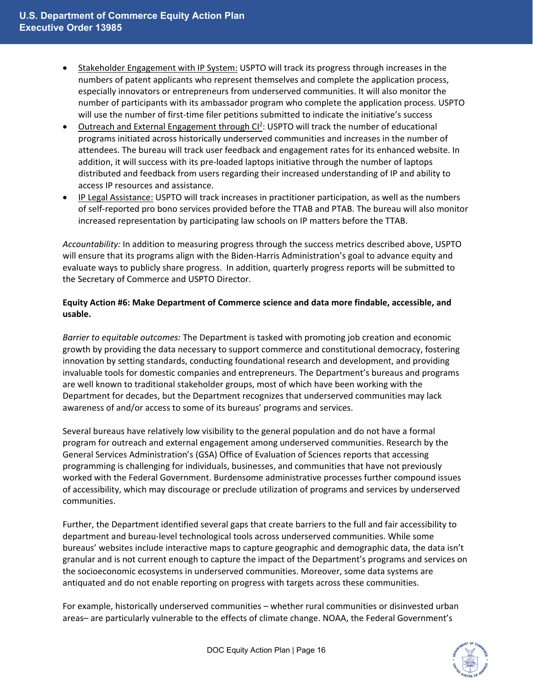- Stakeholder Engagement with IP System: USPTO will track its progress through increases in the numbers of patent applicants who represent themselves and complete the application process, especially innovators or entrepreneurs from underserved communities. It will also monitor the number of participants with its ambassador program who complete the application process. USPTO will use the number of first-time filer petitions submitted to indicate the initiative's success
- Outreach and External Engagement through CI<sup>2</sup>: USPTO will track the number of educational programs initiated across historically underserved communities and increases in the number of attendees. The bureau will track user feedback and engagement rates for its enhanced website. In addition, it will success with its pre-loaded laptops initiative through the number of laptops distributed and feedback from users regarding their increased understanding of IP and ability to access IP resources and assistance.
- IP Legal Assistance: USPTO will track increases in practitioner participation, as well as the numbers of self-reported pro bono services provided before the TTAB and PTAB. The bureau will also monitor increased representation by participating law schools on IP matters before the TTAB.

*Accountability:* In addition to measuring progress through the success metrics described above, USPTO will ensure that its programs align with the Biden-Harris Administration's goal to advance equity and evaluate ways to publicly share progress. In addition, quarterly progress reports will be submitted to the Secretary of Commerce and USPTO Director.

# **Equity Action #6: Make Department of Commerce science and data more findable, accessible, and usable.**

*Barrier to equitable outcomes:* The Department is tasked with promoting job creation and economic growth by providing the data necessary to support commerce and constitutional democracy, fostering innovation by setting standards, conducting foundational research and development, and providing invaluable tools for domestic companies and entrepreneurs. The Department's bureaus and programs are well known to traditional stakeholder groups, most of which have been working with the Department for decades, but the Department recognizes that underserved communities may lack awareness of and/or access to some of its bureaus' programs and services.

Several bureaus have relatively low visibility to the general population and do not have a formal program for outreach and external engagement among underserved communities. Research by the General Services Administration's (GSA) Office of Evaluation of Sciences reports that accessing programming is challenging for individuals, businesses, and communities that have not previously worked with the Federal Government. Burdensome administrative processes further compound issues of accessibility, which may discourage or preclude utilization of programs and services by underserved communities.

Further, the Department identified several gaps that create barriers to the full and fair accessibility to department and bureau-level technological tools across underserved communities. While some bureaus' websites include interactive maps to capture geographic and demographic data, the data isn't granular and is not current enough to capture the impact of the Department's programs and services on the socioeconomic ecosystems in underserved communities. Moreover, some data systems are antiquated and do not enable reporting on progress with targets across these communities.

For example, historically underserved communities – whether rural communities or disinvested urban areas– are particularly vulnerable to the effects of climate change. NOAA, the Federal Government's

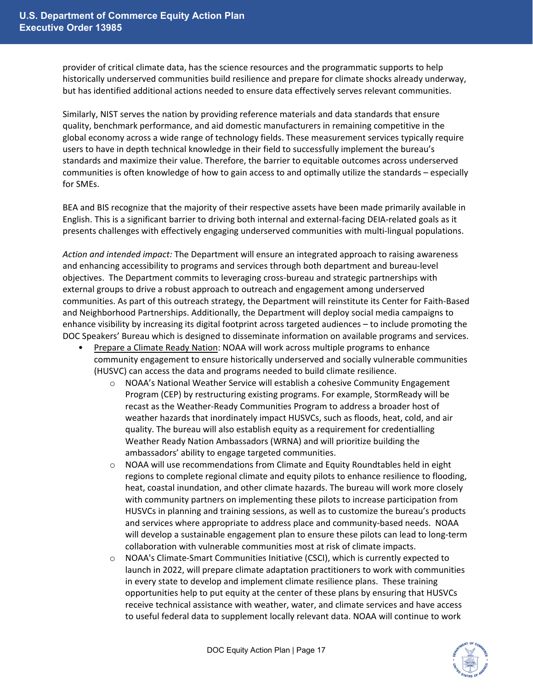provider of critical climate data, has the science resources and the programmatic supports to help historically underserved communities build resilience and prepare for climate shocks already underway, but has identified additional actions needed to ensure data effectively serves relevant communities.

Similarly, NIST serves the nation by providing reference materials and data standards that ensure quality, benchmark performance, and aid domestic manufacturers in remaining competitive in the global economy across a wide range of technology fields. These measurement services typically require users to have in depth technical knowledge in their field to successfully implement the bureau's standards and maximize their value. Therefore, the barrier to equitable outcomes across underserved communities is often knowledge of how to gain access to and optimally utilize the standards – especially for SMEs.

BEA and BIS recognize that the majority of their respective assets have been made primarily available in English. This is a significant barrier to driving both internal and external-facing DEIA-related goals as it presents challenges with effectively engaging underserved communities with multi-lingual populations.

*Action and intended impact:* The Department will ensure an integrated approach to raising awareness and enhancing accessibility to programs and services through both department and bureau-level objectives. The Department commits to leveraging cross-bureau and strategic partnerships with external groups to drive a robust approach to outreach and engagement among underserved communities. As part of this outreach strategy, the Department will reinstitute its Center for Faith-Based and Neighborhood Partnerships. Additionally, the Department will deploy social media campaigns to enhance visibility by increasing its digital footprint across targeted audiences – to include promoting the DOC Speakers' Bureau which is designed to disseminate information on available programs and services.

- Prepare a Climate Ready Nation: NOAA will work across multiple programs to enhance community engagement to ensure historically underserved and socially vulnerable communities (HUSVC) can access the data and programs needed to build climate resilience.
	- o NOAA's National Weather Service will establish a cohesive Community Engagement Program (CEP) by restructuring existing programs. For example, StormReady will be recast as the Weather-Ready Communities Program to address a broader host of weather hazards that inordinately impact HUSVCs, such as floods, heat, cold, and air quality. The bureau will also establish equity as a requirement for credentialling Weather Ready Nation Ambassadors (WRNA) and will prioritize building the ambassadors' ability to engage targeted communities.
	- $\circ$  NOAA will use recommendations from Climate and Equity Roundtables held in eight regions to complete regional climate and equity pilots to enhance resilience to flooding, heat, coastal inundation, and other climate hazards. The bureau will work more closely with community partners on implementing these pilots to increase participation from HUSVCs in planning and training sessions, as well as to customize the bureau's products and services where appropriate to address place and community-based needs. NOAA will develop a sustainable engagement plan to ensure these pilots can lead to long-term collaboration with vulnerable communities most at risk of climate impacts.
	- o NOAA's Climate-Smart Communities Initiative (CSCI), which is currently expected to launch in 2022, will prepare climate adaptation practitioners to work with communities in every state to develop and implement climate resilience plans. These training opportunities help to put equity at the center of these plans by ensuring that HUSVCs receive technical assistance with weather, water, and climate services and have access to useful federal data to supplement locally relevant data. NOAA will continue to work

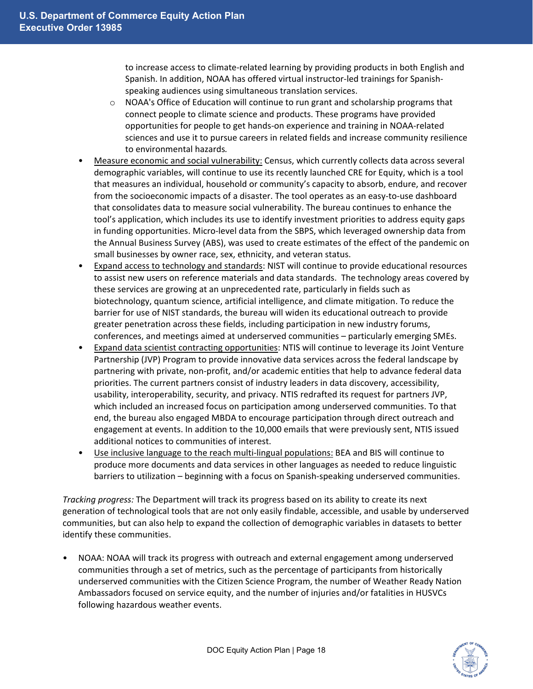to increase access to climate-related learning by providing products in both English and Spanish. In addition, NOAA has offered virtual instructor-led trainings for Spanishspeaking audiences using simultaneous translation services.

- $\circ$  NOAA's Office of Education will continue to run grant and scholarship programs that connect people to climate science and products. These programs have provided opportunities for people to get hands-on experience and training in NOAA-related sciences and use it to pursue careers in related fields and increase community resilience to environmental hazards*.*
- Measure economic and social vulnerability: Census, which currently collects data across several demographic variables, will continue to use its recently launched CRE for Equity, which is a tool that measures an individual, household or community's capacity to absorb, endure, and recover from the socioeconomic impacts of a disaster. The tool operates as an easy-to-use dashboard that consolidates data to measure social vulnerability. The bureau continues to enhance the tool's application, which includes its use to identify investment priorities to address equity gaps in funding opportunities. Micro-level data from the SBPS, which leveraged ownership data from the Annual Business Survey (ABS), was used to create estimates of the effect of the pandemic on small businesses by owner race, sex, ethnicity, and veteran status.
- Expand access to technology and standards: NIST will continue to provide educational resources to assist new users on reference materials and data standards. The technology areas covered by these services are growing at an unprecedented rate, particularly in fields such as biotechnology, quantum science, artificial intelligence, and climate mitigation. To reduce the barrier for use of NIST standards, the bureau will widen its educational outreach to provide greater penetration across these fields, including participation in new industry forums, conferences, and meetings aimed at underserved communities – particularly emerging SMEs.
- Expand data scientist contracting opportunities: NTIS will continue to leverage its Joint Venture Partnership (JVP) Program to provide innovative data services across the federal landscape by partnering with private, non-profit, and/or academic entities that help to advance federal data priorities. The current partners consist of industry leaders in data discovery, accessibility, usability, interoperability, security, and privacy. NTIS redrafted its request for partners JVP, which included an increased focus on participation among underserved communities. To that end, the bureau also engaged MBDA to encourage participation through direct outreach and engagement at events. In addition to the 10,000 emails that were previously sent, NTIS issued additional notices to communities of interest.
- Use inclusive language to the reach multi-lingual populations: BEA and BIS will continue to produce more documents and data services in other languages as needed to reduce linguistic barriers to utilization – beginning with a focus on Spanish-speaking underserved communities.

*Tracking progress:* The Department will track its progress based on its ability to create its next generation of technological tools that are not only easily findable, accessible, and usable by underserved communities, but can also help to expand the collection of demographic variables in datasets to better identify these communities.

• NOAA: NOAA will track its progress with outreach and external engagement among underserved communities through a set of metrics, such as the percentage of participants from historically underserved communities with the Citizen Science Program, the number of Weather Ready Nation Ambassadors focused on service equity, and the number of injuries and/or fatalities in HUSVCs following hazardous weather events.